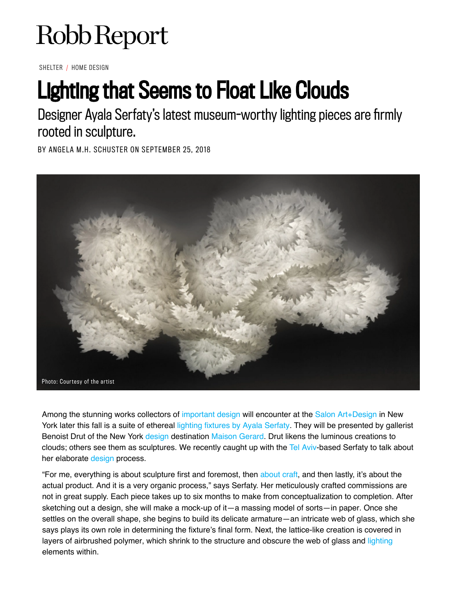## Robb Report

SHELTER / HOME DESIGN

## Lighting that Seems to Float Like Clouds

Designer Ayala Serfaty's latest museum-worthy lighting pieces are firmly rooted in sculpture.

BY ANGELA M.H. SCHUSTER ON SEPTEMBER 25, 2018



Among the stunning works collectors of [important design](https://robbreport.com/shelter/home-design/meaghan-roddy-an-eye-for-design-2806970/) will encounter at the [Salon Art+Design](https://www.thesalonny.com/) in New York later this fall is a suite of ethereal [lighting fixtures by Ayala Serfaty](https://ayalaserfaty.com/). They will be presented by gallerist Benoist Drut of the New York [design](https://robbreport.com/tag/design/) destination [Maison Gerard](http://www.maisongerard.com/). Drut likens the luminous creations to clouds; others see them as sculptures. We recently caught up with the [Tel Aviv-](https://robbreport.com/travel/destinations/jaffa-luxury-hotel-opens-tel-aviv-2811299/)based Serfaty to talk about her elaborate [design](https://robbreport.com/shelter/home-design/danish-architect-david-thulstrup-creates-modernist-haven-2819515/) process.

"For me, everything is about sculpture first and foremost, then about craft, and then lastly, it's about the actual product. And it is a very organic process," says Serfaty. Her meticulously crafted commissions are not in great supply. Each piece takes up to six months to make from conceptualization to completion. After sketching out a design, she will make a mock-up of it—a massing model of sorts—in paper. Once she settles on the overall shape, she begins to build its delicate armature—an intricate web of glass, which she says plays its own role in determining the fixture's final form. Next, the lattice-like creation is covered in layers of airbrushed polymer, which shrink to the structure and obscure the web of glass and lighting elements within.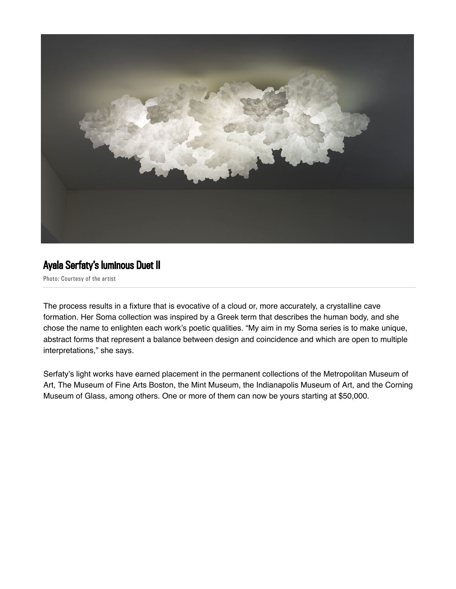

## Ayala Serfaty's luminous Duet II

Photo: Courtesy of the artist

The process results in a fixture that is evocative of a cloud or, more accurately, a crystalline cave formation. Her Soma collection was inspired by a Greek term that describes the human body, and she chose the name to enlighten each work's poetic qualities. "My aim in my Soma series is to make unique, abstract forms that represent a balance between design and coincidence and which are open to multiple interpretations," she says.

Serfaty's light works have earned placement in the permanent collections of the Metropolitan Museum of Art, The Museum of Fine Arts Boston, the Mint Museum, the Indianapolis Museum of Art, and the Corning Museum of Glass, among others. One or more of them can now be yours starting at \$50,000.